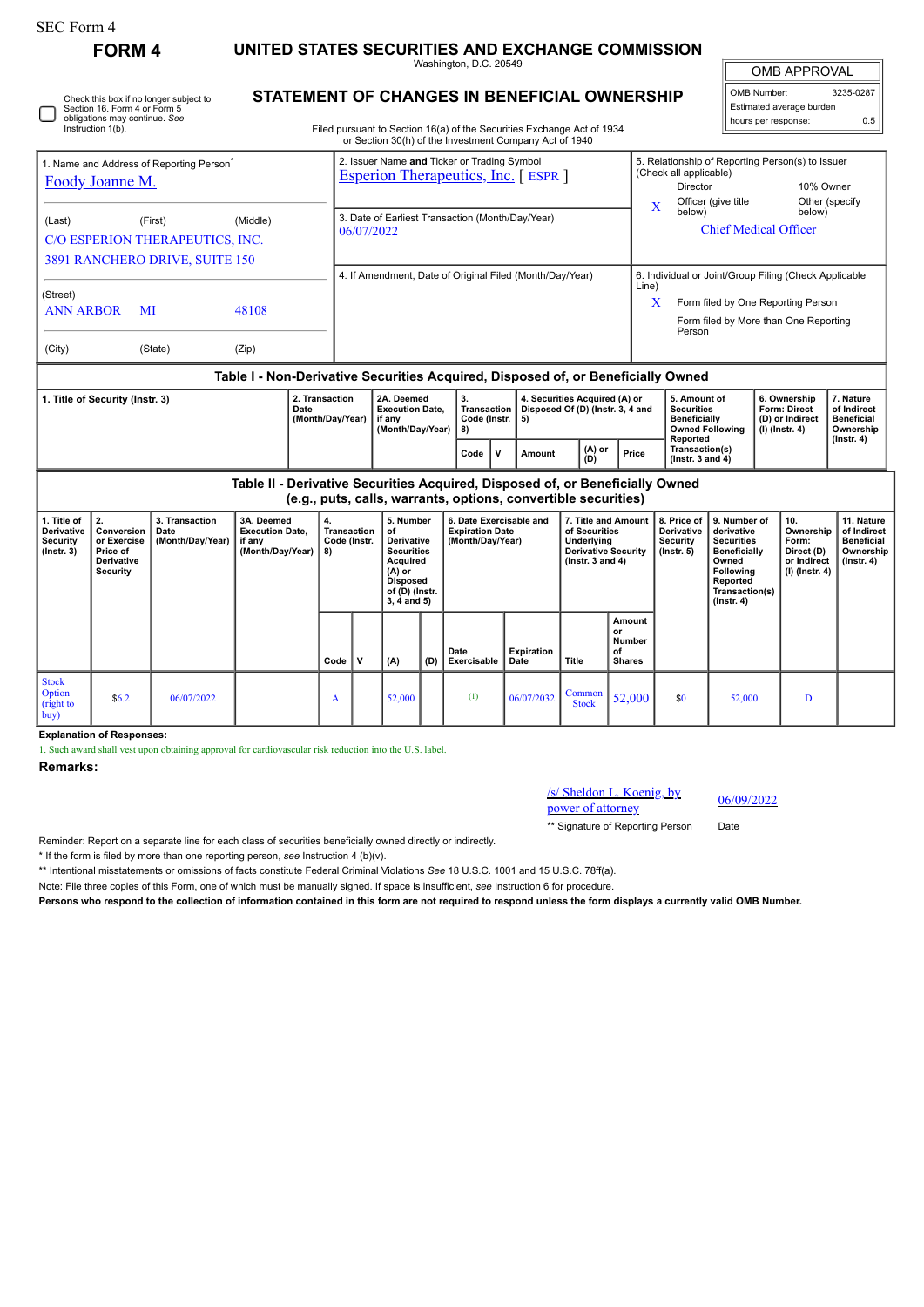| SEC Form 4                                                                                                                                                                          |                                                                                     |                                                                              |                                                                    |                                    |                                                                                   |                                                                                                                         |     |                                                                                                                                  |      |                   |                                                                                                            |                                                      |                                                                                                                                      |                                                                                                                                                |                                                                                 |                                                                          |                                                                                 |  |
|-------------------------------------------------------------------------------------------------------------------------------------------------------------------------------------|-------------------------------------------------------------------------------------|------------------------------------------------------------------------------|--------------------------------------------------------------------|------------------------------------|-----------------------------------------------------------------------------------|-------------------------------------------------------------------------------------------------------------------------|-----|----------------------------------------------------------------------------------------------------------------------------------|------|-------------------|------------------------------------------------------------------------------------------------------------|------------------------------------------------------|--------------------------------------------------------------------------------------------------------------------------------------|------------------------------------------------------------------------------------------------------------------------------------------------|---------------------------------------------------------------------------------|--------------------------------------------------------------------------|---------------------------------------------------------------------------------|--|
|                                                                                                                                                                                     | <b>FORM 4</b>                                                                       | UNITED STATES SECURITIES AND EXCHANGE COMMISSION<br>Washington, D.C. 20549   |                                                                    |                                    |                                                                                   |                                                                                                                         |     |                                                                                                                                  |      |                   |                                                                                                            |                                                      |                                                                                                                                      |                                                                                                                                                | OMB APPROVAL                                                                    |                                                                          |                                                                                 |  |
| <b>STATEMENT OF CHANGES IN BENEFICIAL OWNERSHIP</b><br>Check this box if no longer subject to<br>Section 16. Form 4 or Form 5<br>obligations may continue. See<br>Instruction 1(b). |                                                                                     |                                                                              |                                                                    |                                    |                                                                                   |                                                                                                                         |     | Filed pursuant to Section 16(a) of the Securities Exchange Act of 1934<br>or Section 30(h) of the Investment Company Act of 1940 |      |                   |                                                                                                            |                                                      |                                                                                                                                      | OMB Number:                                                                                                                                    | Estimated average burden<br>hours per response:                                 | 3235-0287<br>0.5                                                         |                                                                                 |  |
| 1. Name and Address of Reporting Person <sup>®</sup><br>Foody Joanne M.                                                                                                             |                                                                                     |                                                                              |                                                                    |                                    | 2. Issuer Name and Ticker or Trading Symbol<br>Esperion Therapeutics, Inc. [ESPR] |                                                                                                                         |     |                                                                                                                                  |      |                   |                                                                                                            |                                                      | (Check all applicable)<br><b>Director</b>                                                                                            | Officer (give title                                                                                                                            | 5. Relationship of Reporting Person(s) to Issuer<br>10% Owner<br>Other (specify |                                                                          |                                                                                 |  |
| (Last)                                                                                                                                                                              |                                                                                     | (First)<br>C/O ESPERION THERAPEUTICS, INC.<br>3891 RANCHERO DRIVE, SUITE 150 | (Middle)                                                           |                                    | 3. Date of Earliest Transaction (Month/Day/Year)<br>06/07/2022                    |                                                                                                                         |     |                                                                                                                                  |      |                   |                                                                                                            |                                                      | X<br>below)                                                                                                                          |                                                                                                                                                | below)<br><b>Chief Medical Officer</b>                                          |                                                                          |                                                                                 |  |
| (Street)<br><b>ANN ARBOR</b><br>MI                                                                                                                                                  |                                                                                     |                                                                              | 48108                                                              |                                    | 4. If Amendment, Date of Original Filed (Month/Day/Year)<br>Line)<br>X            |                                                                                                                         |     |                                                                                                                                  |      |                   |                                                                                                            |                                                      | 6. Individual or Joint/Group Filing (Check Applicable<br>Form filed by One Reporting Person<br>Form filed by More than One Reporting |                                                                                                                                                |                                                                                 |                                                                          |                                                                                 |  |
| (City)                                                                                                                                                                              | (Zip)                                                                               |                                                                              | Person                                                             |                                    |                                                                                   |                                                                                                                         |     |                                                                                                                                  |      |                   |                                                                                                            |                                                      |                                                                                                                                      |                                                                                                                                                |                                                                                 |                                                                          |                                                                                 |  |
| Table I - Non-Derivative Securities Acquired, Disposed of, or Beneficially Owned<br>1. Title of Security (Instr. 3)<br>Date                                                         |                                                                                     |                                                                              |                                                                    | 2. Transaction<br>(Month/Day/Year) | 2A. Deemed<br><b>Execution Date.</b><br>if anv<br>(Month/Day/Year)                |                                                                                                                         |     | 3.<br><b>Transaction</b><br>Code (Instr.<br>8)                                                                                   | 5)   |                   | 4. Securities Acquired (A) or<br>Disposed Of (D) (Instr. 3, 4 and                                          |                                                      | 5. Amount of<br><b>Securities</b><br><b>Beneficially</b><br><b>Owned Following</b><br>Reported                                       |                                                                                                                                                |                                                                                 | 6. Ownership<br>Form: Direct<br>(D) or Indirect<br>$(I)$ (Instr. 4)      | 7. Nature<br>of Indirect<br><b>Beneficial</b><br>Ownership<br>$($ Instr. 4 $)$  |  |
|                                                                                                                                                                                     |                                                                                     |                                                                              |                                                                    |                                    |                                                                                   |                                                                                                                         |     | Code                                                                                                                             | V    | Amount            | $(A)$ or<br>(D)                                                                                            | Price                                                |                                                                                                                                      | Transaction(s)<br>$($ lnstr. 3 and 4 $)$                                                                                                       |                                                                                 |                                                                          |                                                                                 |  |
| Table II - Derivative Securities Acquired, Disposed of, or Beneficially Owned<br>(e.g., puts, calls, warrants, options, convertible securities)                                     |                                                                                     |                                                                              |                                                                    |                                    |                                                                                   |                                                                                                                         |     |                                                                                                                                  |      |                   |                                                                                                            |                                                      |                                                                                                                                      |                                                                                                                                                |                                                                                 |                                                                          |                                                                                 |  |
| 1. Title of<br><b>Derivative</b><br><b>Security</b><br>$($ lnstr. 3 $)$                                                                                                             | 2.<br>Conversion<br>or Exercise<br>Price of<br><b>Derivative</b><br><b>Security</b> | 3. Transaction<br>Date<br>(Month/Day/Year)                                   | 3A. Deemed<br><b>Execution Date.</b><br>if any<br>(Month/Day/Year) | $\mathbf{4}$<br>8)                 | Transaction<br>Code (Instr.                                                       | 5. Number<br>of<br>Derivative<br>Securities<br>Acquired<br>$(A)$ or<br><b>Disposed</b><br>of (D) (Instr.<br>3, 4 and 5) |     | 6. Date Exercisable and<br><b>Expiration Date</b><br>(Month/Day/Year)                                                            |      |                   | 7. Title and Amount<br>of Securities<br>Underlying<br><b>Derivative Security</b><br>$($ lnstr. 3 and 4 $)$ |                                                      | 8. Price of<br><b>Derivative</b><br><b>Security</b><br>$($ lnstr. $5)$                                                               | 9. Number of<br>derivative<br><b>Securities</b><br><b>Beneficially</b><br>Owned<br>Following<br>Reported<br>Transaction(s)<br>$($ Instr. 4 $)$ |                                                                                 | 10.<br>Ownership<br>Form:<br>Direct (D)<br>or Indirect<br>(I) (Instr. 4) | 11. Nature<br>of Indirect<br><b>Beneficial</b><br>Ownership<br>$($ Instr. 4 $)$ |  |
|                                                                                                                                                                                     |                                                                                     |                                                                              |                                                                    | Code                               | $\mathbf{v}$                                                                      | (A)                                                                                                                     | (D) | Date<br>Exercisable                                                                                                              | Date | <b>Expiration</b> | Title                                                                                                      | Amount<br>or<br><b>Number</b><br>of<br><b>Shares</b> |                                                                                                                                      |                                                                                                                                                |                                                                                 |                                                                          |                                                                                 |  |
| <b>Stock</b><br>Option<br>(right to<br>buv)                                                                                                                                         | \$6.2                                                                               | 06/07/2022                                                                   |                                                                    | A                                  |                                                                                   | 52,000                                                                                                                  |     | (1)                                                                                                                              |      | 06/07/2032        | Common<br><b>Stock</b>                                                                                     | 52,000                                               | \$0                                                                                                                                  | 52.000                                                                                                                                         |                                                                                 | D                                                                        |                                                                                 |  |

**Explanation of Responses:**

1. Such award shall vest upon obtaining approval for cardiovascular risk reduction into the U.S. label.

## **Remarks:**

## /s/ Sheldon L. Koenig, by  $/s/ \text{Shelldon L. Koenig, by }$ <br>power of attorney 06/09/2022

\*\* Signature of Reporting Person Date

Reminder: Report on a separate line for each class of securities beneficially owned directly or indirectly.

\* If the form is filed by more than one reporting person, *see* Instruction 4 (b)(v).

\*\* Intentional misstatements or omissions of facts constitute Federal Criminal Violations *See* 18 U.S.C. 1001 and 15 U.S.C. 78ff(a).

Note: File three copies of this Form, one of which must be manually signed. If space is insufficient, *see* Instruction 6 for procedure.

**Persons who respond to the collection of information contained in this form are not required to respond unless the form displays a currently valid OMB Number.**

H - I